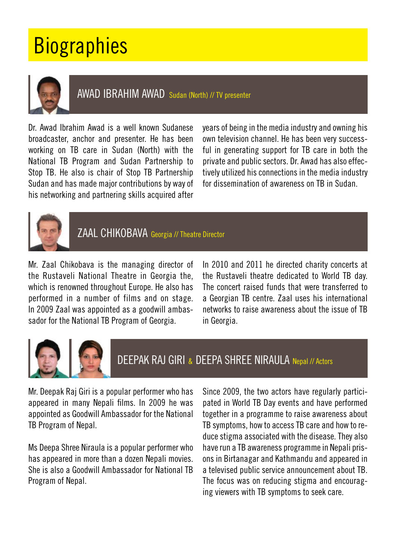## **Biographies**



AWAD IBRAHIM AWAD Sudan (North) // TV presenter

Dr. Awad Ibrahim Awad is a well known Sudanese broadcaster, anchor and presenter. He has been working on TB care in Sudan (North) with the National TB Program and Sudan Partnership to Stop TB. He also is chair of Stop TB Partnership Sudan and has made major contributions by way of his networking and partnering skills acquired after

years of being in the media industry and owning his own television channel. He has been very successful in generating support for TB care in both the private and public sectors. Dr. Awad has also effectively utilized his connections in the media industry for dissemination of awareness on TB in Sudan.



ZAAL CHIKOBAVA Georgia // Theatre Director

Mr. Zaal Chikobava is the managing director of the Rustaveli National Theatre in Georgia the, which is renowned throughout Europe. He also has performed in a number of films and on stage. In 2009 Zaal was appointed as a goodwill ambassador for the National TB Program of Georgia.

In 2010 and 2011 he directed charity concerts at the Rustaveli theatre dedicated to World TB day. The concert raised funds that were transferred to a Georgian TB centre. Zaal uses his international networks to raise awareness about the issue of TB in Georgia.



DEEPAK RAJ GIRI & DEEPA SHREE NIRAULA Nepal // Actors

Mr. Deepak Raj Giri is a popular performer who has appeared in many Nepali films. In 2009 he was appointed as Goodwill Ambassador for the National TB Program of Nepal.

Ms Deepa Shree Niraula is a popular performer who has appeared in more than a dozen Nepali movies. She is also a Goodwill Ambassador for National TB Program of Nepal.

Since 2009, the two actors have regularly participated in World TB Day events and have performed together in a programme to raise awareness about TB symptoms, how to access TB care and how to reduce stigma associated with the disease. They also have run a TB awareness programme in Nepali prisons in Birtanagar and Kathmandu and appeared in a televised public service announcement about TB. The focus was on reducing stigma and encouraging viewers with TB symptoms to seek care.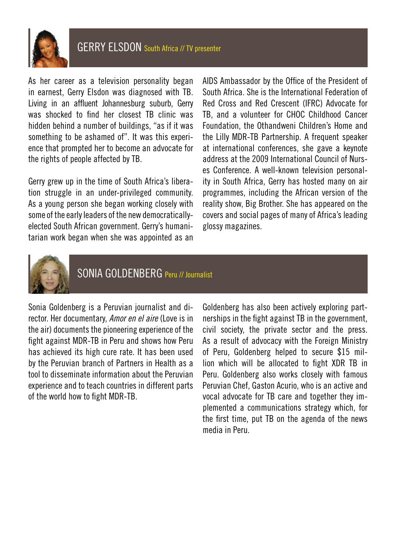

As her career as a television personality began in earnest, Gerry Elsdon was diagnosed with TB. Living in an affluent Johannesburg suburb, Gerry was shocked to find her closest TB clinic was hidden behind a number of buildings, "as if it was something to be ashamed of". It was this experience that prompted her to become an advocate for the rights of people affected by TB.

Gerry grew up in the time of South Africa's liberation struggle in an under-privileged community. As a young person she began working closely with some of the early leaders of the new democraticallyelected South African government. Gerry's humanitarian work began when she was appointed as an AIDS Ambassador by the Office of the President of South Africa. She is the International Federation of Red Cross and Red Crescent (IFRC) Advocate for TB, and a volunteer for CHOC Childhood Cancer Foundation, the Othandweni Children's Home and the Lilly MDR-TB Partnership. A frequent speaker at international conferences, she gave a keynote address at the 2009 International Council of Nurses Conference. A well-known television personality in South Africa, Gerry has hosted many on air programmes, including the African version of the reality show, Big Brother. She has appeared on the covers and social pages of many of Africa's leading glossy magazines.



SONIA GOLDENBERG Peru // Journalist

Sonia Goldenberg is a Peruvian journalist and director. Her documentary, *Amor en el aire* (Love is in the air) documents the pioneering experience of the fight against MDR-TB in Peru and shows how Peru has achieved its high cure rate. It has been used by the Peruvian branch of Partners in Health as a tool to disseminate information about the Peruvian experience and to teach countries in different parts of the world how to fight MDR-TB.

Goldenberg has also been actively exploring partnerships in the fight against TB in the government, civil society, the private sector and the press. As a result of advocacy with the Foreign Ministry of Peru, Goldenberg helped to secure \$15 million which will be allocated to fight XDR TB in Peru. Goldenberg also works closely with famous Peruvian Chef, Gaston Acurio, who is an active and vocal advocate for TB care and together they implemented a communications strategy which, for the first time, put TB on the agenda of the news media in Peru.